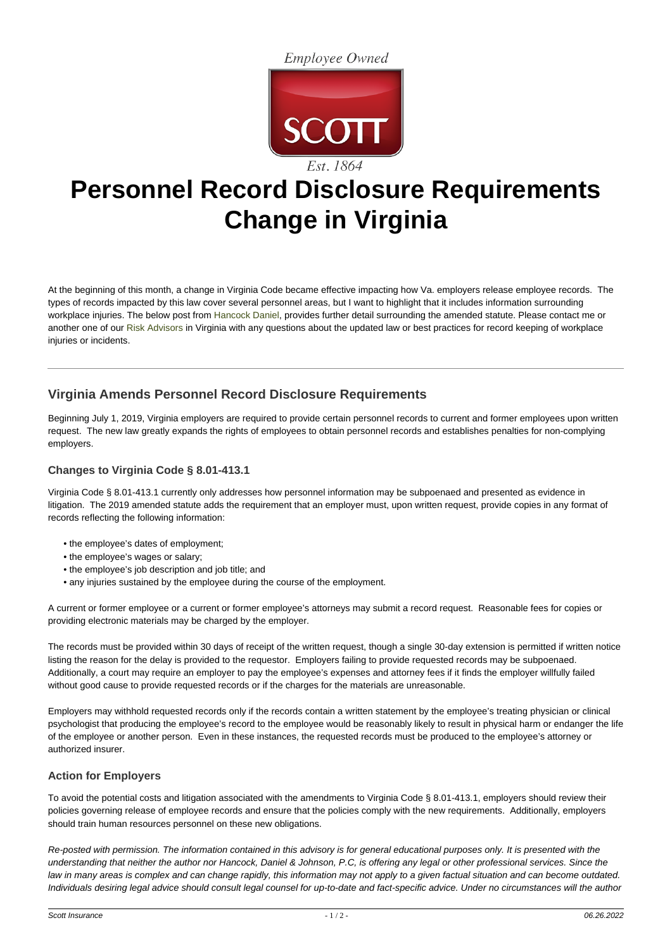**Employee Owned** 



# **Personnel Record Disclosure Requirements Change in Virginia**

At the beginning of this month, a change in Virginia Code became effective impacting how Va. employers release employee records. The types of records impacted by this law cover several personnel areas, but I want to highlight that it includes information surrounding workplace injuries. The below post from [Hancock Daniel](https://hancockdaniel.com), provides further detail surrounding the amended statute. Please contact me or another one of our [Risk Advisors](https://www.scottins.com/property-casualty/contacts/) in Virginia with any questions about the updated law or best practices for record keeping of workplace injuries or incidents.

# **Virginia Amends Personnel Record Disclosure Requirements**

Beginning July 1, 2019, Virginia employers are required to provide certain personnel records to current and former employees upon written request. The new law greatly expands the rights of employees to obtain personnel records and establishes penalties for non-complying employers.

## **Changes to Virginia Code § 8.01-413.1**

Virginia Code § 8.01-413.1 currently only addresses how personnel information may be subpoenaed and presented as evidence in litigation. The 2019 amended statute adds the requirement that an employer must, upon written request, provide copies in any format of records reflecting the following information:

- the employee's dates of employment;
- the employee's wages or salary;
- the employee's job description and job title; and
- any injuries sustained by the employee during the course of the employment.

A current or former employee or a current or former employee's attorneys may submit a record request. Reasonable fees for copies or providing electronic materials may be charged by the employer.

The records must be provided within 30 days of receipt of the written request, though a single 30-day extension is permitted if written notice listing the reason for the delay is provided to the requestor. Employers failing to provide requested records may be subpoenaed. Additionally, a court may require an employer to pay the employee's expenses and attorney fees if it finds the employer willfully failed without good cause to provide requested records or if the charges for the materials are unreasonable.

Employers may withhold requested records only if the records contain a written statement by the employee's treating physician or clinical psychologist that producing the employee's record to the employee would be reasonably likely to result in physical harm or endanger the life of the employee or another person. Even in these instances, the requested records must be produced to the employee's attorney or authorized insurer.

### **Action for Employers**

To avoid the potential costs and litigation associated with the amendments to Virginia Code § 8.01-413.1, employers should review their policies governing release of employee records and ensure that the policies comply with the new requirements. Additionally, employers should train human resources personnel on these new obligations.

Re-posted with permission. The information contained in this advisory is for general educational purposes only. It is presented with the understanding that neither the author nor Hancock, Daniel & Johnson, P.C, is offering any legal or other professional services. Since the law in many areas is complex and can change rapidly, this information may not apply to a given factual situation and can become outdated. Individuals desiring legal advice should consult legal counsel for up-to-date and fact-specific advice. Under no circumstances will the author